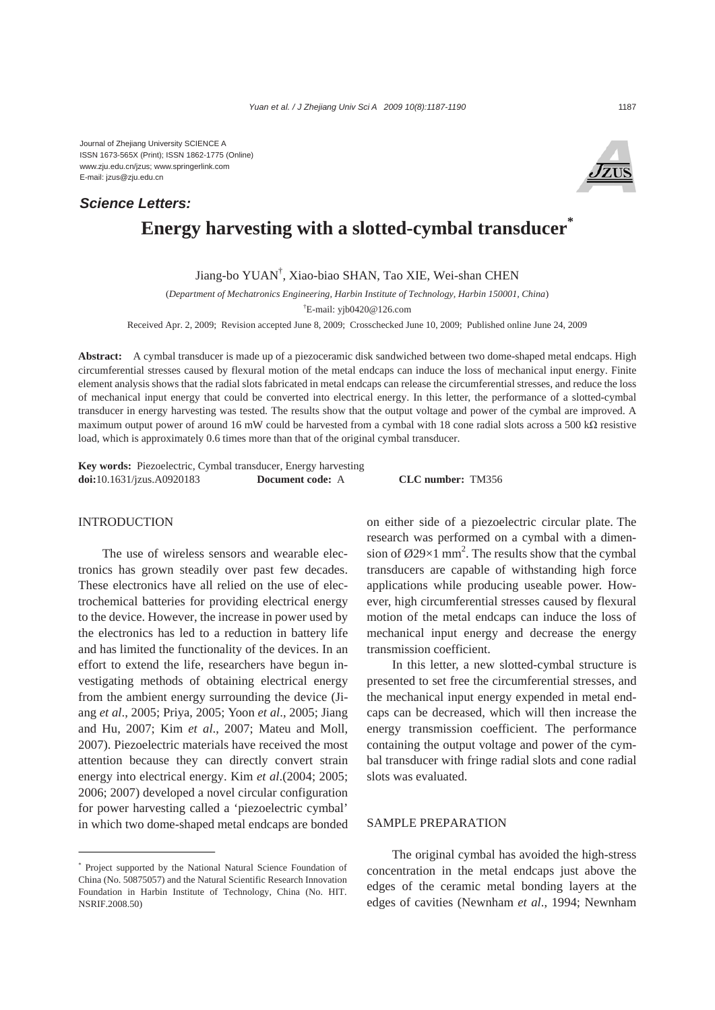Journal of Zhejiang University SCIENCE A ISSN 1673-565X (Print); ISSN 1862-1775 (Online) www.zju.edu.cn/jzus; www.springerlink.com E-mail: jzus@zju.edu.cn

## *Science Letters:*



# **Energy harvesting with a slotted-cymbal transducer\***

Jiang-bo YUAN† , Xiao-biao SHAN, Tao XIE, Wei-shan CHEN

(*Department of Mechatronics Engineering, Harbin Institute of Technology, Harbin 150001, China*)

† E-mail: yjb0420@126.com

Received Apr. 2, 2009; Revision accepted June 8, 2009; Crosschecked June 10, 2009; Published online June 24, 2009

**Abstract:** A cymbal transducer is made up of a piezoceramic disk sandwiched between two dome-shaped metal endcaps. High circumferential stresses caused by flexural motion of the metal endcaps can induce the loss of mechanical input energy. Finite element analysis shows that the radial slots fabricated in metal endcaps can release the circumferential stresses, and reduce the loss of mechanical input energy that could be converted into electrical energy. In this letter, the performance of a slotted-cymbal transducer in energy harvesting was tested. The results show that the output voltage and power of the cymbal are improved. A maximum output power of around 16 mW could be harvested from a cymbal with 18 cone radial slots across a 500 kΩ resistive load, which is approximately 0.6 times more than that of the original cymbal transducer.

**Key words:** Piezoelectric, Cymbal transducer, Energy harvesting **doi:**10.1631/jzus.A0920183 **Document code:** A **CLC number:** TM356

### **INTRODUCTION**

The use of wireless sensors and wearable electronics has grown steadily over past few decades. These electronics have all relied on the use of electrochemical batteries for providing electrical energy to the device. However, the increase in power used by the electronics has led to a reduction in battery life and has limited the functionality of the devices. In an effort to extend the life, researchers have begun investigating methods of obtaining electrical energy from the ambient energy surrounding the device (Jiang *et al*., 2005; Priya, 2005; Yoon *et al*., 2005; Jiang and Hu, 2007; Kim *et al*., 2007; Mateu and Moll, 2007). Piezoelectric materials have received the most attention because they can directly convert strain energy into electrical energy. Kim *et al*.(2004; 2005; 2006; 2007) developed a novel circular configuration for power harvesting called a 'piezoelectric cymbal' in which two dome-shaped metal endcaps are bonded on either side of a piezoelectric circular plate. The research was performed on a cymbal with a dimension of  $\emptyset$ 29×1 mm<sup>2</sup>. The results show that the cymbal transducers are capable of withstanding high force applications while producing useable power. However, high circumferential stresses caused by flexural motion of the metal endcaps can induce the loss of mechanical input energy and decrease the energy transmission coefficient.

In this letter, a new slotted-cymbal structure is presented to set free the circumferential stresses, and the mechanical input energy expended in metal endcaps can be decreased, which will then increase the energy transmission coefficient. The performance containing the output voltage and power of the cymbal transducer with fringe radial slots and cone radial slots was evaluated.

## SAMPLE PREPARATION

The original cymbal has avoided the high-stress concentration in the metal endcaps just above the edges of the ceramic metal bonding layers at the edges of cavities (Newnham *et al*., 1994; Newnham

<sup>\*</sup> Project supported by the National Natural Science Foundation of China (No. 50875057) and the Natural Scientific Research Innovation Foundation in Harbin Institute of Technology, China (No. HIT. NSRIF.2008.50)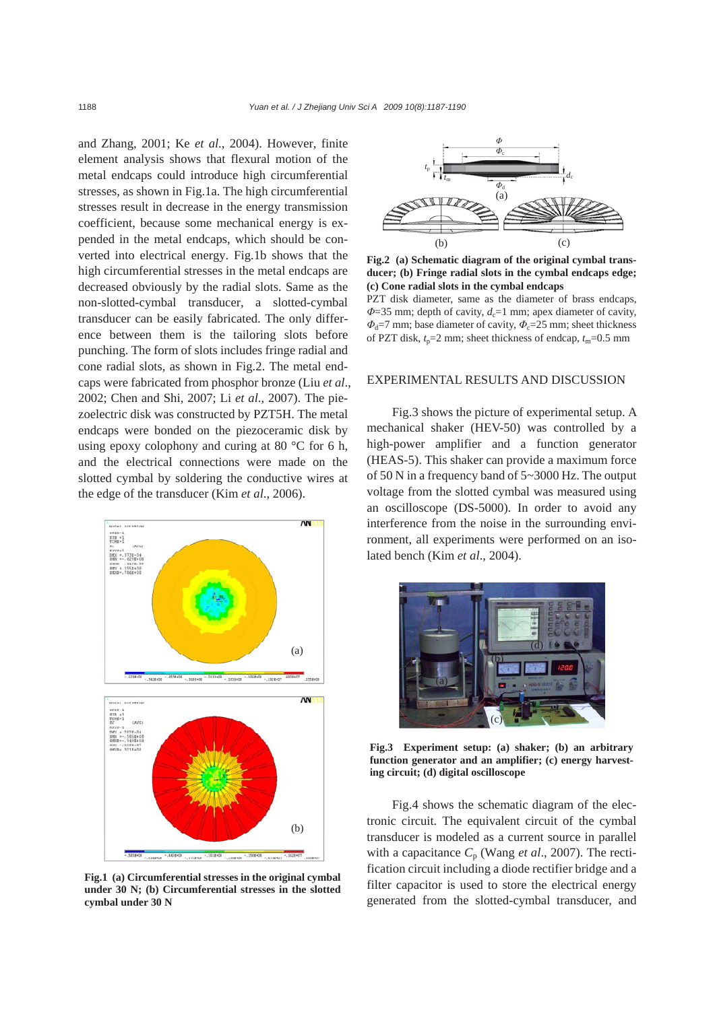and Zhang, 2001; Ke *et al*., 2004). However, finite element analysis shows that flexural motion of the metal endcaps could introduce high circumferential stresses, as shown in Fig.1a. The high circumferential stresses result in decrease in the energy transmission coefficient, because some mechanical energy is expended in the metal endcaps, which should be converted into electrical energy. Fig.1b shows that the high circumferential stresses in the metal endcaps are decreased obviously by the radial slots. Same as the non-slotted-cymbal transducer, a slotted-cymbal transducer can be easily fabricated. The only difference between them is the tailoring slots before punching. The form of slots includes fringe radial and cone radial slots, as shown in Fig.2. The metal endcaps were fabricated from phosphor bronze (Liu *et al*., 2002; Chen and Shi, 2007; Li *et al*., 2007). The piezoelectric disk was constructed by PZT5H. The metal endcaps were bonded on the piezoceramic disk by using epoxy colophony and curing at 80 °C for 6 h, and the electrical connections were made on the slotted cymbal by soldering the conductive wires at the edge of the transducer (Kim *et al*., 2006).



**Fig.1 (a) Circumferential stresses in the original cymbal under 30 N; (b) Circumferential stresses in the slotted cymbal under 30 N**



**Fig.2 (a) Schematic diagram of the original cymbal transducer; (b) Fringe radial slots in the cymbal endcaps edge; (c) Cone radial slots in the cymbal endcaps** 

PZT disk diameter, same as the diameter of brass endcaps, *Φ*=35 mm; depth of cavity, *d*<sub>c</sub>=1 mm; apex diameter of cavity, *Φ*<sub>d</sub>=7 mm; base diameter of cavity, *Φ*<sub>c</sub>=25 mm; sheet thickness of PZT disk,  $t_p = 2$  mm; sheet thickness of endcap,  $t_m = 0.5$  mm

## EXPERIMENTAL RESULTS AND DISCUSSION

Fig.3 shows the picture of experimental setup. A mechanical shaker (HEV-50) was controlled by a high-power amplifier and a function generator (HEAS-5). This shaker can provide a maximum force of 50 N in a frequency band of 5~3000 Hz. The output voltage from the slotted cymbal was measured using an oscilloscope (DS-5000). In order to avoid any interference from the noise in the surrounding environment, all experiments were performed on an isolated bench (Kim *et al*., 2004).



**Fig.3 Experiment setup: (a) shaker; (b) an arbitrary function generator and an amplifier; (c) energy harvesting circuit; (d) digital oscilloscope**

Fig.4 shows the schematic diagram of the electronic circuit. The equivalent circuit of the cymbal transducer is modeled as a current source in parallel with a capacitance *C*p (Wang *et al*., 2007). The rectification circuit including a diode rectifier bridge and a filter capacitor is used to store the electrical energy generated from the slotted-cymbal transducer, and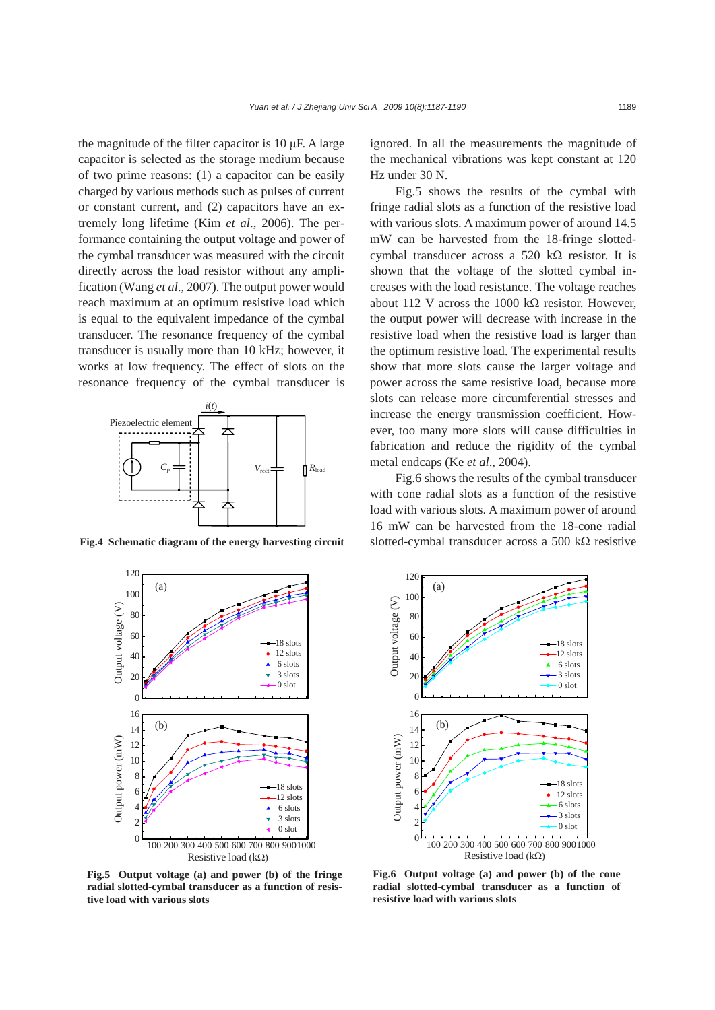the magnitude of the filter capacitor is  $10 \mu$ F. A large capacitor is selected as the storage medium because of two prime reasons: (1) a capacitor can be easily charged by various methods such as pulses of current or constant current, and (2) capacitors have an extremely long lifetime (Kim *et al*., 2006). The performance containing the output voltage and power of the cymbal transducer was measured with the circuit directly across the load resistor without any amplification (Wang *et al*., 2007). The output power would reach maximum at an optimum resistive load which is equal to the equivalent impedance of the cymbal transducer. The resonance frequency of the cymbal transducer is usually more than 10 kHz; however, it works at low frequency. The effect of slots on the resonance frequency of the cymbal transducer is



**Fig.4 Schematic diagram of the energy harvesting circuit**



ignored. In all the measurements the magnitude of the mechanical vibrations was kept constant at 120 Hz under 30 N.

Fig.5 shows the results of the cymbal with fringe radial slots as a function of the resistive load with various slots. A maximum power of around 14.5 mW can be harvested from the 18-fringe slottedcymbal transducer across a 520 kΩ resistor. It is shown that the voltage of the slotted cymbal increases with the load resistance. The voltage reaches about 112 V across the 1000 kΩ resistor. However, the output power will decrease with increase in the resistive load when the resistive load is larger than the optimum resistive load. The experimental results show that more slots cause the larger voltage and power across the same resistive load, because more slots can release more circumferential stresses and increase the energy transmission coefficient. However, too many more slots will cause difficulties in fabrication and reduce the rigidity of the cymbal metal endcaps (Ke *et al*., 2004).

Fig.6 shows the results of the cymbal transducer with cone radial slots as a function of the resistive load with various slots. A maximum power of around 16 mW can be harvested from the 18-cone radial slotted-cymbal transducer across a 500 kΩ resistive



**Fig.5 Output voltage (a) and power (b) of the fringe radial slotted-cymbal transducer as a function of resistive load with various slots**

**Fig.6 Output voltage (a) and power (b) of the cone radial slotted-cymbal transducer as a function of resistive load with various slots**